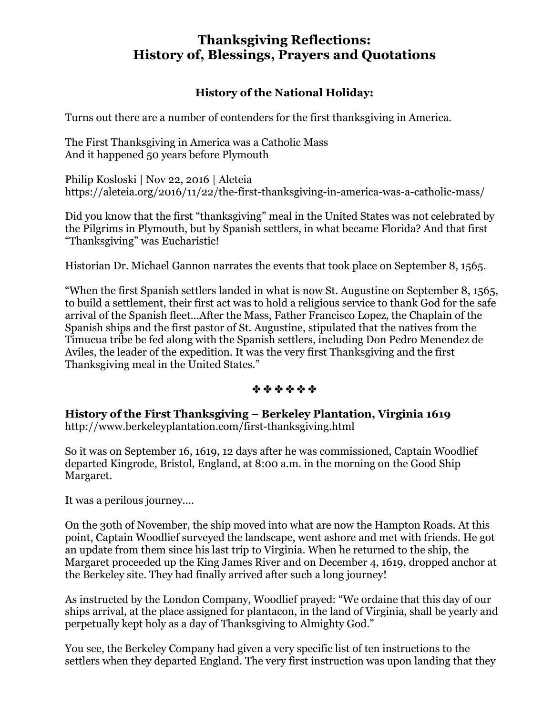# **Thanksgiving Reflections: History of, Blessings, Prayers and Quotations**

# **History of the National Holiday:**

Turns out there are a number of contenders for the first thanksgiving in America.

The First Thanksgiving in America was a Catholic Mass And it happened 50 years before Plymouth

Philip Kosloski | Nov 22, 2016 | Aleteia https://aleteia.org/2016/11/22/the-first-thanksgiving-in-america-was-a-catholic-mass/

Did you know that the first "thanksgiving" meal in the United States was not celebrated by the Pilgrims in Plymouth, but by Spanish settlers, in what became Florida? And that first "Thanksgiving" was Eucharistic!

Historian Dr. Michael Gannon narrates the events that took place on September 8, 1565.

"When the first Spanish settlers landed in what is now St. Augustine on September 8, 1565, to build a settlement, their first act was to hold a religious service to thank God for the safe arrival of the Spanish fleet…After the Mass, Father Francisco Lopez, the Chaplain of the Spanish ships and the first pastor of St. Augustine, stipulated that the natives from the Timucua tribe be fed along with the Spanish settlers, including Don Pedro Menendez de Aviles, the leader of the expedition. It was the very first Thanksgiving and the first Thanksgiving meal in the United States."

e e e e e e

**History of the First Thanksgiving – Berkeley Plantation, Virginia 1619** http://www.berkeleyplantation.com/first-thanksgiving.html

So it was on September 16, 1619, 12 days after he was commissioned, Captain Woodlief departed Kingrode, Bristol, England, at 8:00 a.m. in the morning on the Good Ship Margaret.

It was a perilous journey.…

On the 30th of November, the ship moved into what are now the Hampton Roads. At this point, Captain Woodlief surveyed the landscape, went ashore and met with friends. He got an update from them since his last trip to Virginia. When he returned to the ship, the Margaret proceeded up the King James River and on December 4, 1619, dropped anchor at the Berkeley site. They had finally arrived after such a long journey!

As instructed by the London Company, Woodlief prayed: "We ordaine that this day of our ships arrival, at the place assigned for plantacon, in the land of Virginia, shall be yearly and perpetually kept holy as a day of Thanksgiving to Almighty God."

You see, the Berkeley Company had given a very specific list of ten instructions to the settlers when they departed England. The very first instruction was upon landing that they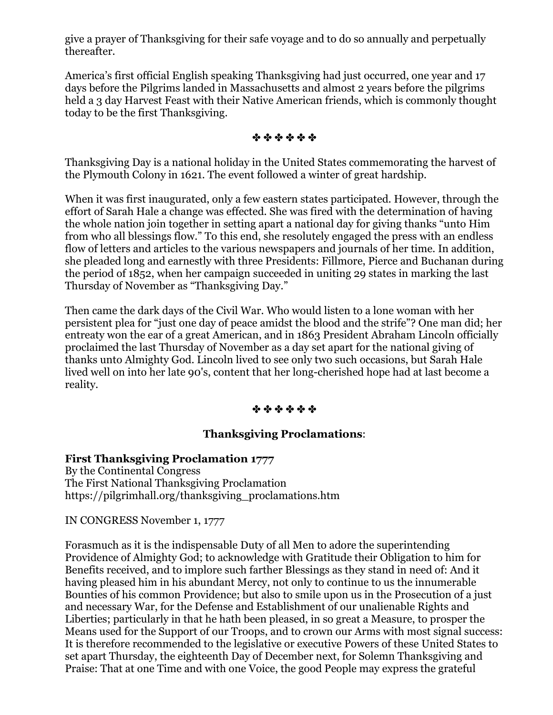give a prayer of Thanksgiving for their safe voyage and to do so annually and perpetually thereafter.

America's first official English speaking Thanksgiving had just occurred, one year and 17 days before the Pilgrims landed in Massachusetts and almost 2 years before the pilgrims held a 3 day Harvest Feast with their Native American friends, which is commonly thought today to be the first Thanksgiving.

e e e e e e

Thanksgiving Day is a national holiday in the United States commemorating the harvest of the Plymouth Colony in 1621. The event followed a winter of great hardship.

When it was first inaugurated, only a few eastern states participated. However, through the effort of Sarah Hale a change was effected. She was fired with the determination of having the whole nation join together in setting apart a national day for giving thanks "unto Him from who all blessings flow." To this end, she resolutely engaged the press with an endless flow of letters and articles to the various newspapers and journals of her time. In addition, she pleaded long and earnestly with three Presidents: Fillmore, Pierce and Buchanan during the period of 1852, when her campaign succeeded in uniting 29 states in marking the last Thursday of November as "Thanksgiving Day."

Then came the dark days of the Civil War. Who would listen to a lone woman with her persistent plea for "just one day of peace amidst the blood and the strife"? One man did; her entreaty won the ear of a great American, and in 1863 President Abraham Lincoln officially proclaimed the last Thursday of November as a day set apart for the national giving of thanks unto Almighty God. Lincoln lived to see only two such occasions, but Sarah Hale lived well on into her late 90's, content that her long-cherished hope had at last become a reality.

## e e e e e e

## **Thanksgiving Proclamations**:

## **First Thanksgiving Proclamation 1777**

By the Continental Congress The First National Thanksgiving Proclamation https://pilgrimhall.org/thanksgiving\_proclamations.htm

IN CONGRESS November 1, 1777

Forasmuch as it is the indispensable Duty of all Men to adore the superintending Providence of Almighty God; to acknowledge with Gratitude their Obligation to him for Benefits received, and to implore such farther Blessings as they stand in need of: And it having pleased him in his abundant Mercy, not only to continue to us the innumerable Bounties of his common Providence; but also to smile upon us in the Prosecution of a just and necessary War, for the Defense and Establishment of our unalienable Rights and Liberties; particularly in that he hath been pleased, in so great a Measure, to prosper the Means used for the Support of our Troops, and to crown our Arms with most signal success: It is therefore recommended to the legislative or executive Powers of these United States to set apart Thursday, the eighteenth Day of December next, for Solemn Thanksgiving and Praise: That at one Time and with one Voice, the good People may express the grateful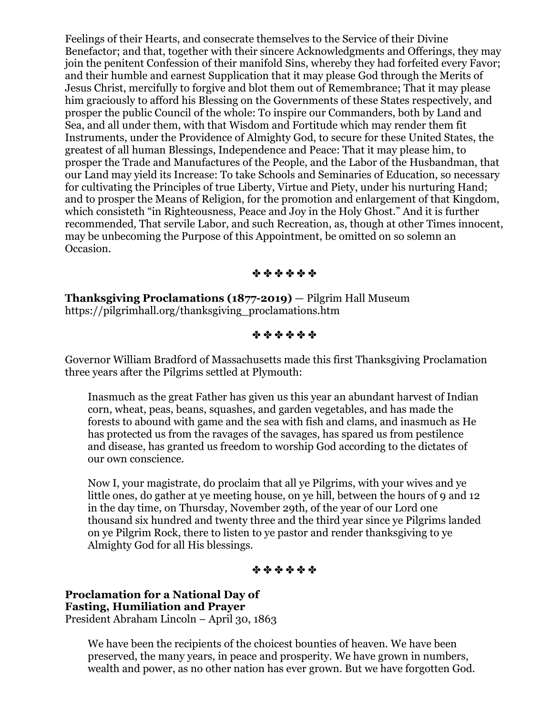Feelings of their Hearts, and consecrate themselves to the Service of their Divine Benefactor; and that, together with their sincere Acknowledgments and Offerings, they may join the penitent Confession of their manifold Sins, whereby they had forfeited every Favor; and their humble and earnest Supplication that it may please God through the Merits of Jesus Christ, mercifully to forgive and blot them out of Remembrance; That it may please him graciously to afford his Blessing on the Governments of these States respectively, and prosper the public Council of the whole: To inspire our Commanders, both by Land and Sea, and all under them, with that Wisdom and Fortitude which may render them fit Instruments, under the Providence of Almighty God, to secure for these United States, the greatest of all human Blessings, Independence and Peace: That it may please him, to prosper the Trade and Manufactures of the People, and the Labor of the Husbandman, that our Land may yield its Increase: To take Schools and Seminaries of Education, so necessary for cultivating the Principles of true Liberty, Virtue and Piety, under his nurturing Hand; and to prosper the Means of Religion, for the promotion and enlargement of that Kingdom, which consisteth "in Righteousness, Peace and Joy in the Holy Ghost." And it is further recommended, That servile Labor, and such Recreation, as, though at other Times innocent, may be unbecoming the Purpose of this Appointment, be omitted on so solemn an Occasion.

\* \* \* \* \* \*

**Thanksgiving Proclamations (1877-2019)** — Pilgrim Hall Museum https://pilgrimhall.org/thanksgiving\_proclamations.htm

e e e e e e

Governor William Bradford of Massachusetts made this first Thanksgiving Proclamation three years after the Pilgrims settled at Plymouth:

Inasmuch as the great Father has given us this year an abundant harvest of Indian corn, wheat, peas, beans, squashes, and garden vegetables, and has made the forests to abound with game and the sea with fish and clams, and inasmuch as He has protected us from the ravages of the savages, has spared us from pestilence and disease, has granted us freedom to worship God according to the dictates of our own conscience.

Now I, your magistrate, do proclaim that all ye Pilgrims, with your wives and ye little ones, do gather at ye meeting house, on ye hill, between the hours of 9 and 12 in the day time, on Thursday, November 29th, of the year of our Lord one thousand six hundred and twenty three and the third year since ye Pilgrims landed on ye Pilgrim Rock, there to listen to ye pastor and render thanksgiving to ye Almighty God for all His blessings.

e e e e e e

**Proclamation for a National Day of Fasting, Humiliation and Prayer** President Abraham Lincoln – April 30, 1863

> We have been the recipients of the choicest bounties of heaven. We have been preserved, the many years, in peace and prosperity. We have grown in numbers, wealth and power, as no other nation has ever grown. But we have forgotten God.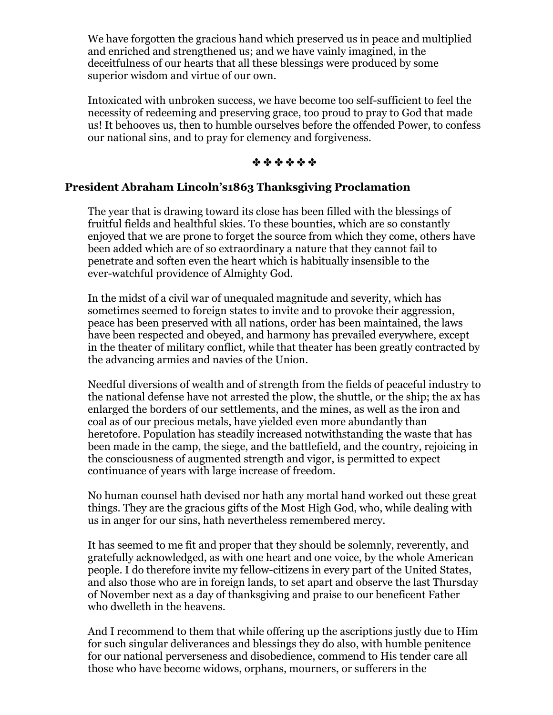We have forgotten the gracious hand which preserved us in peace and multiplied and enriched and strengthened us; and we have vainly imagined, in the deceitfulness of our hearts that all these blessings were produced by some superior wisdom and virtue of our own.

Intoxicated with unbroken success, we have become too self-sufficient to feel the necessity of redeeming and preserving grace, too proud to pray to God that made us! It behooves us, then to humble ourselves before the offended Power, to confess our national sins, and to pray for clemency and forgiveness.

### e e e e e e

## **President Abraham Lincoln's1863 Thanksgiving Proclamation**

The year that is drawing toward its close has been filled with the blessings of fruitful fields and healthful skies. To these bounties, which are so constantly enjoyed that we are prone to forget the source from which they come, others have been added which are of so extraordinary a nature that they cannot fail to penetrate and soften even the heart which is habitually insensible to the ever-watchful providence of Almighty God.

In the midst of a civil war of unequaled magnitude and severity, which has sometimes seemed to foreign states to invite and to provoke their aggression, peace has been preserved with all nations, order has been maintained, the laws have been respected and obeyed, and harmony has prevailed everywhere, except in the theater of military conflict, while that theater has been greatly contracted by the advancing armies and navies of the Union.

Needful diversions of wealth and of strength from the fields of peaceful industry to the national defense have not arrested the plow, the shuttle, or the ship; the ax has enlarged the borders of our settlements, and the mines, as well as the iron and coal as of our precious metals, have yielded even more abundantly than heretofore. Population has steadily increased notwithstanding the waste that has been made in the camp, the siege, and the battlefield, and the country, rejoicing in the consciousness of augmented strength and vigor, is permitted to expect continuance of years with large increase of freedom.

No human counsel hath devised nor hath any mortal hand worked out these great things. They are the gracious gifts of the Most High God, who, while dealing with us in anger for our sins, hath nevertheless remembered mercy.

It has seemed to me fit and proper that they should be solemnly, reverently, and gratefully acknowledged, as with one heart and one voice, by the whole American people. I do therefore invite my fellow-citizens in every part of the United States, and also those who are in foreign lands, to set apart and observe the last Thursday of November next as a day of thanksgiving and praise to our beneficent Father who dwelleth in the heavens.

And I recommend to them that while offering up the ascriptions justly due to Him for such singular deliverances and blessings they do also, with humble penitence for our national perverseness and disobedience, commend to His tender care all those who have become widows, orphans, mourners, or sufferers in the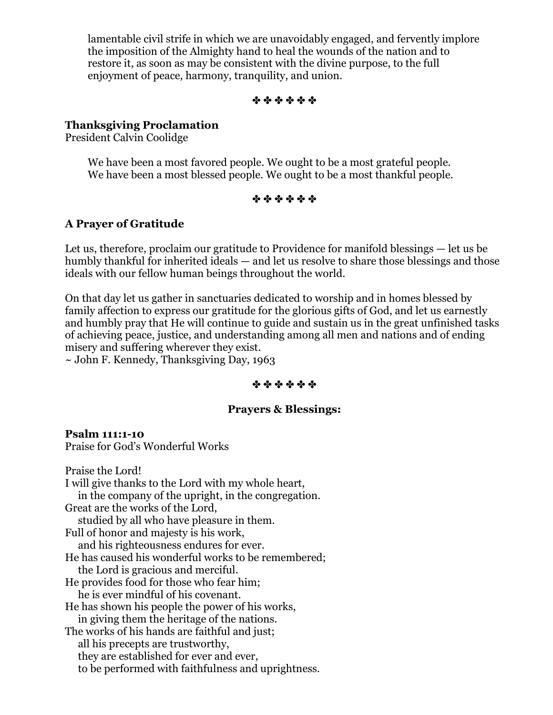lamentable civil strife in which we are unavoidably engaged, and fervently implore the imposition of the Almighty hand to heal the wounds of the nation and to restore it, as soon as may be consistent with the divine purpose, to the full enjoyment of peace, harmony, tranquility, and union.

e e e e e e

### **Thanksgiving Proclamation**

President Calvin Coolidge

We have been a most favored people. We ought to be a most grateful people. We have been a most blessed people. We ought to be a most thankful people.

e e e e e e

## **A Prayer of Gratitude**

Let us, therefore, proclaim our gratitude to Providence for manifold blessings — let us be humbly thankful for inherited ideals — and let us resolve to share those blessings and those ideals with our fellow human beings throughout the world.

On that day let us gather in sanctuaries dedicated to worship and in homes blessed by family affection to express our gratitude for the glorious gifts of God, and let us earnestly and humbly pray that He will continue to guide and sustain us in the great unfinished tasks of achieving peace, justice, and understanding among all men and nations and of ending misery and suffering wherever they exist.

 $\sim$  John F. Kennedy, Thanksgiving Day, 1963



## **Prayers & Blessings:**

**Psalm 111:1-10** Praise for God's Wonderful Works

Praise the Lord! I will give thanks to the Lord with my whole heart, in the company of the upright, in the congregation. Great are the works of the Lord, studied by all who have pleasure in them. Full of honor and majesty is his work, and his righteousness endures for ever. He has caused his wonderful works to be remembered; the Lord is gracious and merciful. He provides food for those who fear him; he is ever mindful of his covenant. He has shown his people the power of his works, in giving them the heritage of the nations. The works of his hands are faithful and just; all his precepts are trustworthy, they are established for ever and ever, to be performed with faithfulness and uprightness.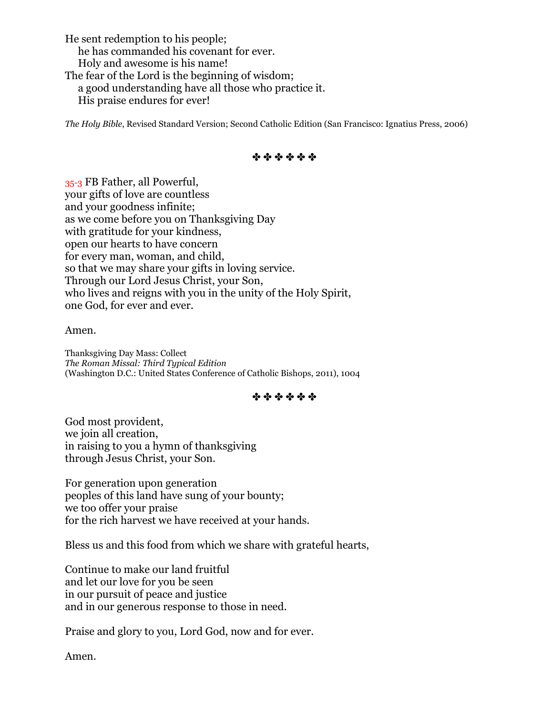He sent redemption to his people; he has commanded his covenant for ever. Holy and awesome is his name! The fear of the Lord is the beginning of wisdom; a good understanding have all those who practice it. His praise endures for ever!

*The Holy Bible*, Revised Standard Version; Second Catholic Edition (San Francisco: Ignatius Press, 2006)

## e e e e e e

35-3 FB Father, all Powerful, your gifts of love are countless and your goodness infinite; as we come before you on Thanksgiving Day with gratitude for your kindness, open our hearts to have concern for every man, woman, and child, so that we may share your gifts in loving service. Through our Lord Jesus Christ, your Son, who lives and reigns with you in the unity of the Holy Spirit, one God, for ever and ever.

Amen.

Thanksgiving Day Mass: Collect *The Roman Missal: Third Typical Edition* (Washington D.C.: United States Conference of Catholic Bishops, 2011), 1004

## $\begin{array}{ccccc} \bullet & \bullet & \bullet & \bullet & \bullet & \bullet & \bullet \end{array}$

God most provident, we join all creation, in raising to you a hymn of thanksgiving through Jesus Christ, your Son.

For generation upon generation peoples of this land have sung of your bounty; we too offer your praise for the rich harvest we have received at your hands.

Bless us and this food from which we share with grateful hearts,

Continue to make our land fruitful and let our love for you be seen in our pursuit of peace and justice and in our generous response to those in need.

Praise and glory to you, Lord God, now and for ever.

Amen.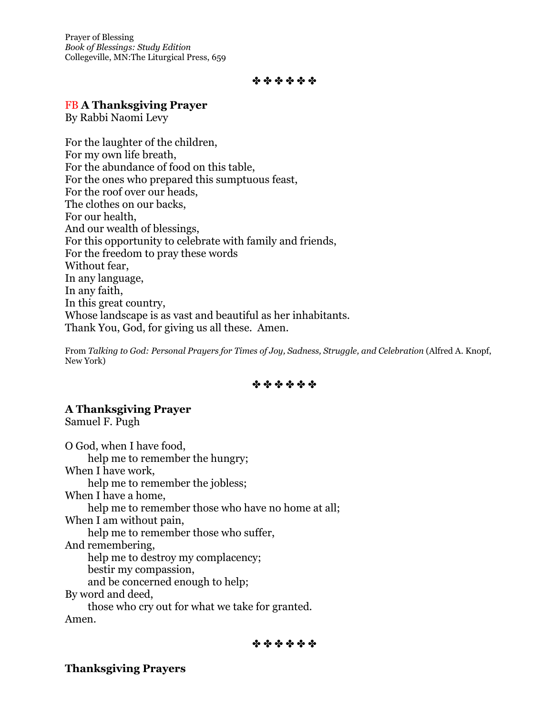Prayer of Blessing *Book of Blessings: Study Edition* Collegeville, MN:The Liturgical Press, 659

#### e e e e e e

#### FB **A Thanksgiving Prayer**

By Rabbi Naomi Levy

For the laughter of the children, For my own life breath, For the abundance of food on this table, For the ones who prepared this sumptuous feast, For the roof over our heads, The clothes on our backs, For our health, And our wealth of blessings, For this opportunity to celebrate with family and friends, For the freedom to pray these words Without fear, In any language, In any faith, In this great country, Whose landscape is as vast and beautiful as her inhabitants. Thank You, God, for giving us all these. Amen.

From *Talking to God: Personal Prayers for Times of Joy, Sadness, Struggle, and Celebration* (Alfred A. Knopf, New York)

#### e e e e e e

## **A Thanksgiving Prayer**

Samuel F. Pugh

O God, when I have food, help me to remember the hungry; When I have work, help me to remember the jobless; When I have a home, help me to remember those who have no home at all; When I am without pain, help me to remember those who suffer, And remembering, help me to destroy my complacency; bestir my compassion, and be concerned enough to help; By word and deed, those who cry out for what we take for granted. Amen.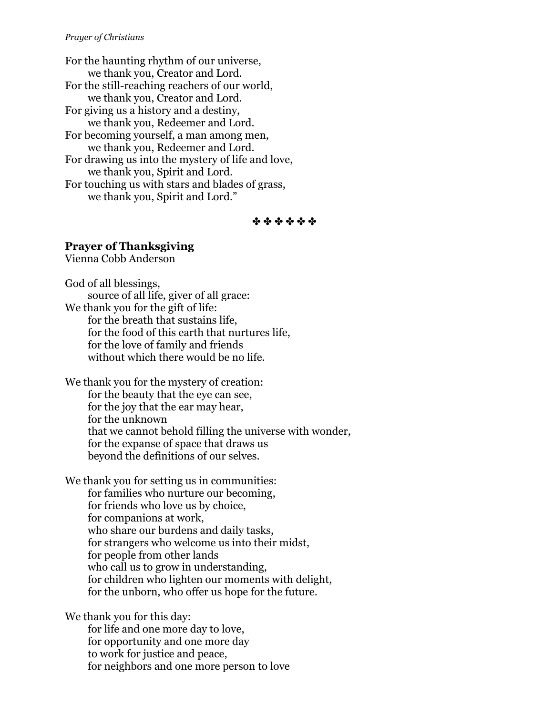#### *Prayer of Christians*

For the haunting rhythm of our universe, we thank you, Creator and Lord.

For the still-reaching reachers of our world, we thank you, Creator and Lord.

For giving us a history and a destiny,

we thank you, Redeemer and Lord.

For becoming yourself, a man among men, we thank you, Redeemer and Lord.

For drawing us into the mystery of life and love,

we thank you, Spirit and Lord.

For touching us with stars and blades of grass, we thank you, Spirit and Lord."

### e e e e e e

#### **Prayer of Thanksgiving**

Vienna Cobb Anderson

God of all blessings, source of all life, giver of all grace: We thank you for the gift of life: for the breath that sustains life, for the food of this earth that nurtures life, for the love of family and friends without which there would be no life.

We thank you for the mystery of creation: for the beauty that the eye can see, for the joy that the ear may hear, for the unknown that we cannot behold filling the universe with wonder, for the expanse of space that draws us beyond the definitions of our selves.

We thank you for setting us in communities: for families who nurture our becoming, for friends who love us by choice, for companions at work, who share our burdens and daily tasks, for strangers who welcome us into their midst, for people from other lands who call us to grow in understanding, for children who lighten our moments with delight, for the unborn, who offer us hope for the future.

We thank you for this day: for life and one more day to love, for opportunity and one more day to work for justice and peace, for neighbors and one more person to love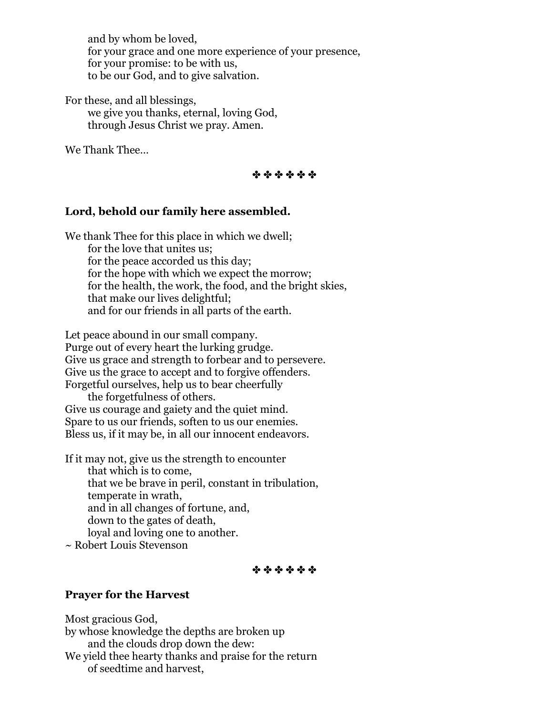and by whom be loved, for your grace and one more experience of your presence, for your promise: to be with us, to be our God, and to give salvation.

For these, and all blessings, we give you thanks, eternal, loving God, through Jesus Christ we pray. Amen.

We Thank Thee…

e e e e e e

### **Lord, behold our family here assembled.**

We thank Thee for this place in which we dwell; for the love that unites us; for the peace accorded us this day; for the hope with which we expect the morrow; for the health, the work, the food, and the bright skies, that make our lives delightful; and for our friends in all parts of the earth.

Let peace abound in our small company. Purge out of every heart the lurking grudge. Give us grace and strength to forbear and to persevere. Give us the grace to accept and to forgive offenders. Forgetful ourselves, help us to bear cheerfully the forgetfulness of others. Give us courage and gaiety and the quiet mind. Spare to us our friends, soften to us our enemies. Bless us, if it may be, in all our innocent endeavors.

If it may not, give us the strength to encounter that which is to come, that we be brave in peril, constant in tribulation, temperate in wrath, and in all changes of fortune, and, down to the gates of death, loyal and loving one to another.

~ Robert Louis Stevenson

### e e e e e e

#### **Prayer for the Harvest**

Most gracious God, by whose knowledge the depths are broken up and the clouds drop down the dew: We yield thee hearty thanks and praise for the return of seedtime and harvest,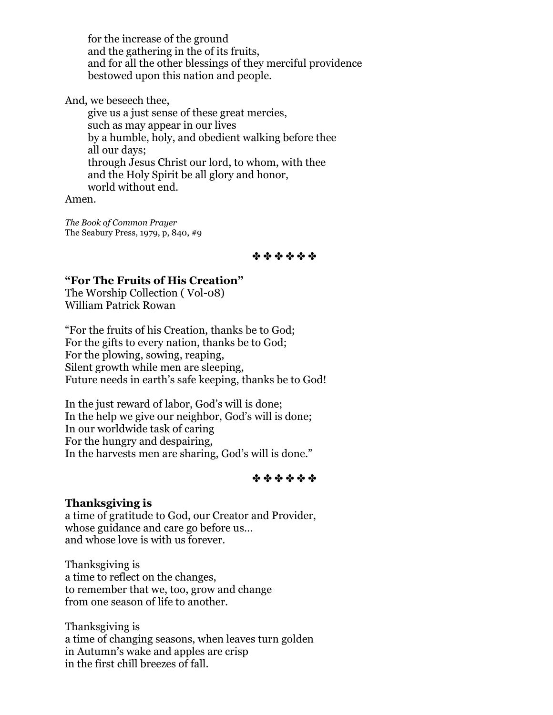for the increase of the ground and the gathering in the of its fruits, and for all the other blessings of they merciful providence bestowed upon this nation and people.

And, we beseech thee,

give us a just sense of these great mercies, such as may appear in our lives by a humble, holy, and obedient walking before thee all our days; through Jesus Christ our lord, to whom, with thee and the Holy Spirit be all glory and honor, world without end.

Amen.

*The Book of Common Prayer* The Seabury Press, 1979, p, 840, #9

e e e e e e

### **"For The Fruits of His Creation"**

The Worship Collection ( Vol-08) William Patrick Rowan

"For the fruits of his Creation, thanks be to God; For the gifts to every nation, thanks be to God; For the plowing, sowing, reaping, Silent growth while men are sleeping, Future needs in earth's safe keeping, thanks be to God!

In the just reward of labor, God's will is done; In the help we give our neighbor, God's will is done; In our worldwide task of caring For the hungry and despairing, In the harvests men are sharing, God's will is done."

### e e e e e e

## **Thanksgiving is**

a time of gratitude to God, our Creator and Provider, whose guidance and care go before us... and whose love is with us forever.

Thanksgiving is a time to reflect on the changes, to remember that we, too, grow and change from one season of life to another.

Thanksgiving is a time of changing seasons, when leaves turn golden in Autumn's wake and apples are crisp in the first chill breezes of fall.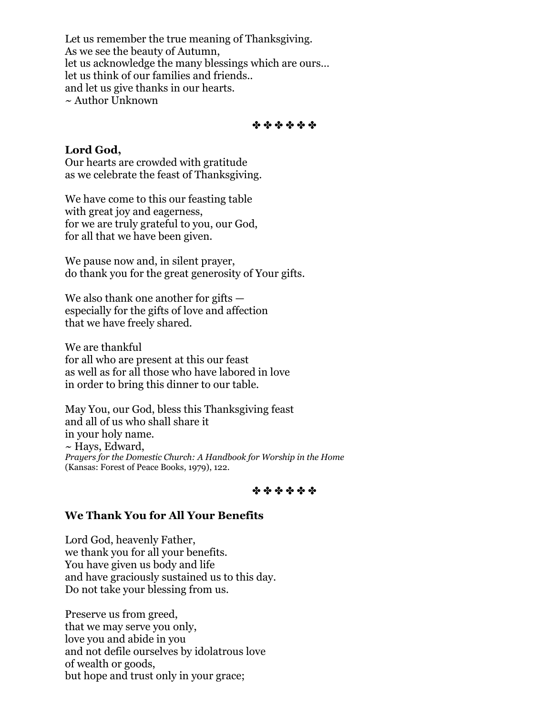Let us remember the true meaning of Thanksgiving. As we see the beauty of Autumn, let us acknowledge the many blessings which are ours… let us think of our families and friends.. and let us give thanks in our hearts. ~ Author Unknown

e e e e e e

### **Lord God,**

Our hearts are crowded with gratitude as we celebrate the feast of Thanksgiving.

We have come to this our feasting table with great joy and eagerness, for we are truly grateful to you, our God, for all that we have been given.

We pause now and, in silent prayer, do thank you for the great generosity of Your gifts.

We also thank one another for gifts especially for the gifts of love and affection that we have freely shared.

We are thankful for all who are present at this our feast as well as for all those who have labored in love in order to bring this dinner to our table.

May You, our God, bless this Thanksgiving feast and all of us who shall share it in your holy name. ~ Hays, Edward, *Prayers for the Domestic Church: A Handbook for Worship in the Home* (Kansas: Forest of Peace Books, 1979), 122.

#### e e e e e e

#### **We Thank You for All Your Benefits**

Lord God, heavenly Father, we thank you for all your benefits. You have given us body and life and have graciously sustained us to this day. Do not take your blessing from us.

Preserve us from greed, that we may serve you only, love you and abide in you and not defile ourselves by idolatrous love of wealth or goods, but hope and trust only in your grace;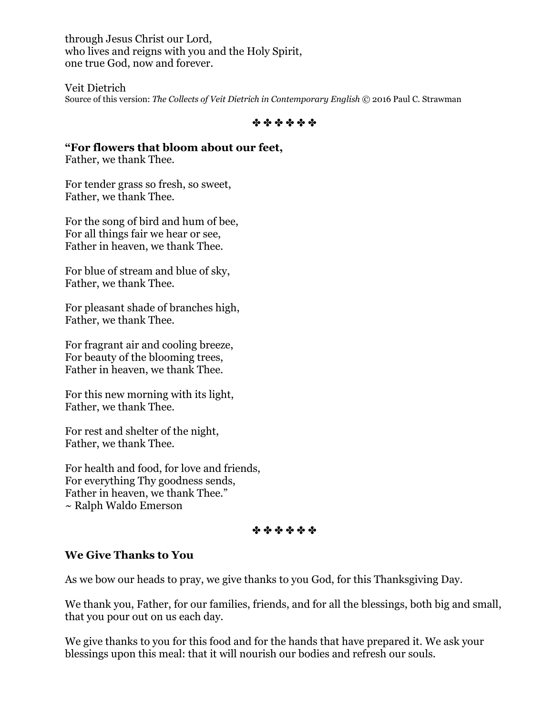through Jesus Christ our Lord, who lives and reigns with you and the Holy Spirit, one true God, now and forever.

Veit Dietrich Source of this version: *The Collects of Veit Dietrich in Contemporary English* © 2016 Paul C. Strawman

e e e e e e

## **"For flowers that bloom about our feet,**

Father, we thank Thee.

For tender grass so fresh, so sweet, Father, we thank Thee.

For the song of bird and hum of bee, For all things fair we hear or see, Father in heaven, we thank Thee.

For blue of stream and blue of sky, Father, we thank Thee.

For pleasant shade of branches high, Father, we thank Thee.

For fragrant air and cooling breeze, For beauty of the blooming trees, Father in heaven, we thank Thee.

For this new morning with its light, Father, we thank Thee.

For rest and shelter of the night, Father, we thank Thee.

For health and food, for love and friends, For everything Thy goodness sends, Father in heaven, we thank Thee." ~ Ralph Waldo Emerson

 $\clubsuit$  .  $\clubsuit$  .  $\clubsuit$  .  $\clubsuit$ 

## **We Give Thanks to You**

As we bow our heads to pray, we give thanks to you God, for this Thanksgiving Day.

We thank you, Father, for our families, friends, and for all the blessings, both big and small, that you pour out on us each day.

We give thanks to you for this food and for the hands that have prepared it. We ask your blessings upon this meal: that it will nourish our bodies and refresh our souls.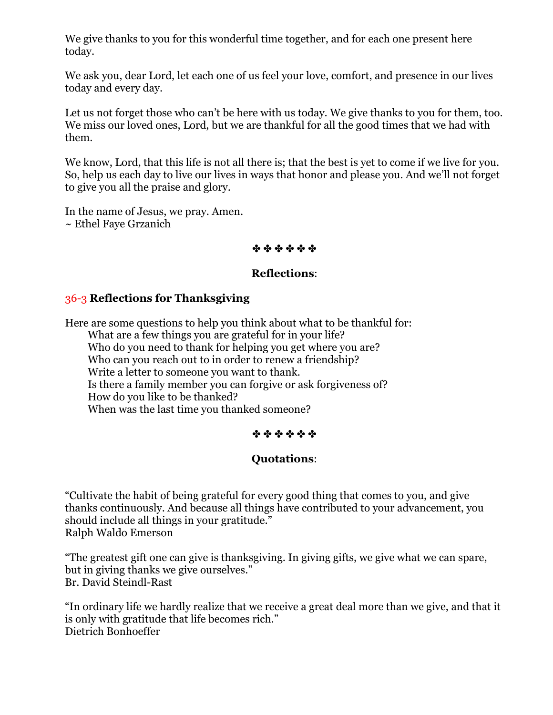We give thanks to you for this wonderful time together, and for each one present here today.

We ask you, dear Lord, let each one of us feel your love, comfort, and presence in our lives today and every day.

Let us not forget those who can't be here with us today. We give thanks to you for them, too. We miss our loved ones, Lord, but we are thankful for all the good times that we had with them.

We know, Lord, that this life is not all there is; that the best is yet to come if we live for you. So, help us each day to live our lives in ways that honor and please you. And we'll not forget to give you all the praise and glory.

In the name of Jesus, we pray. Amen. ~ Ethel Faye Grzanich

## e e e e e e

## **Reflections**:

## 36-3 **Reflections for Thanksgiving**

Here are some questions to help you think about what to be thankful for: What are a few things you are grateful for in your life? Who do you need to thank for helping you get where you are? Who can you reach out to in order to renew a friendship? Write a letter to someone you want to thank. Is there a family member you can forgive or ask forgiveness of? How do you like to be thanked? When was the last time you thanked someone?

## e e e e e e

## **Quotations**:

"Cultivate the habit of being grateful for every good thing that comes to you, and give thanks continuously. And because all things have contributed to your advancement, you should include all things in your gratitude." Ralph Waldo Emerson

"The greatest gift one can give is thanksgiving. In giving gifts, we give what we can spare, but in giving thanks we give ourselves." Br. David Steindl-Rast

"In ordinary life we hardly realize that we receive a great deal more than we give, and that it is only with gratitude that life becomes rich." Dietrich Bonhoeffer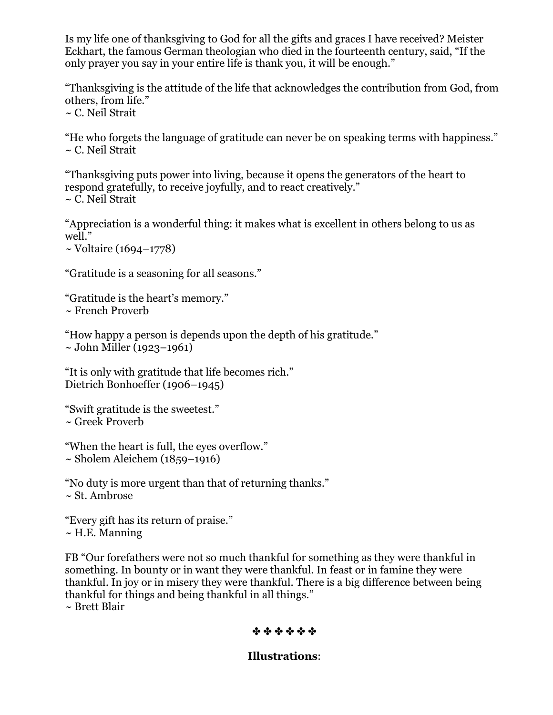Is my life one of thanksgiving to God for all the gifts and graces I have received? Meister Eckhart, the famous German theologian who died in the fourteenth century, said, "If the only prayer you say in your entire life is thank you, it will be enough."

"Thanksgiving is the attitude of the life that acknowledges the contribution from God, from others, from life."

~ C. Neil Strait

"He who forgets the language of gratitude can never be on speaking terms with happiness." ~ C. Neil Strait

"Thanksgiving puts power into living, because it opens the generators of the heart to respond gratefully, to receive joyfully, and to react creatively." ~ C. Neil Strait

"Appreciation is a wonderful thing: it makes what is excellent in others belong to us as well."

~ Voltaire (1694–1778)

"Gratitude is a seasoning for all seasons."

"Gratitude is the heart's memory."

~ French Proverb

"How happy a person is depends upon the depth of his gratitude."  $\sim$  John Miller (1923–1961)

"It is only with gratitude that life becomes rich." Dietrich Bonhoeffer (1906–1945)

```
"Swift gratitude is the sweetest."
~ Greek Proverb
```
"When the heart is full, the eyes overflow."  $\sim$  Sholem Aleichem (1859–1916)

"No duty is more urgent than that of returning thanks." ~ St. Ambrose

"Every gift has its return of praise."  $\sim$  H.E. Manning

FB "Our forefathers were not so much thankful for something as they were thankful in something. In bounty or in want they were thankful. In feast or in famine they were thankful. In joy or in misery they were thankful. There is a big difference between being thankful for things and being thankful in all things." ~ Brett Blair

## e e e e e e

## **Illustrations**: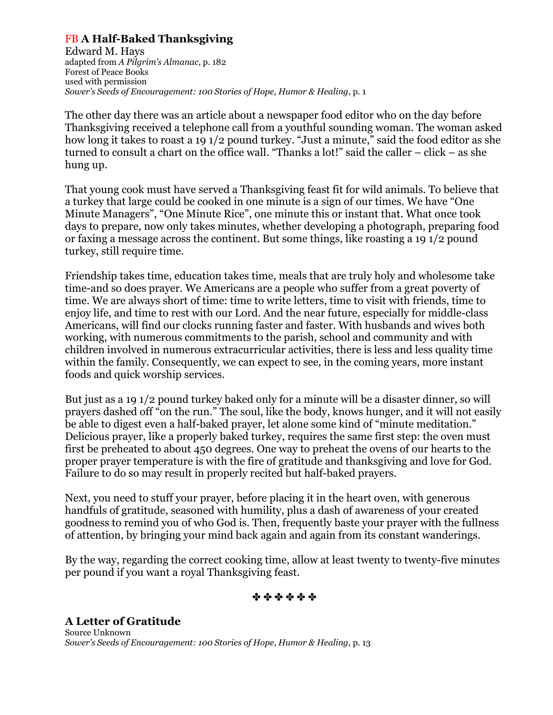# FB **A Half-Baked Thanksgiving**

Edward M. Hays adapted from *A Pilgrim's Almanac*, p. 182 Forest of Peace Books used with permission *Sower's Seeds of Encouragement: 100 Stories of Hope, Humor & Healing*, p. 1

The other day there was an article about a newspaper food editor who on the day before Thanksgiving received a telephone call from a youthful sounding woman. The woman asked how long it takes to roast a 19 1/2 pound turkey. "Just a minute," said the food editor as she turned to consult a chart on the office wall. "Thanks a lot!" said the caller – click – as she hung up.

That young cook must have served a Thanksgiving feast fit for wild animals. To believe that a turkey that large could be cooked in one minute is a sign of our times. We have "One Minute Managers", "One Minute Rice", one minute this or instant that. What once took days to prepare, now only takes minutes, whether developing a photograph, preparing food or faxing a message across the continent. But some things, like roasting a 19 1/2 pound turkey, still require time.

Friendship takes time, education takes time, meals that are truly holy and wholesome take time-and so does prayer. We Americans are a people who suffer from a great poverty of time. We are always short of time: time to write letters, time to visit with friends, time to enjoy life, and time to rest with our Lord. And the near future, especially for middle-class Americans, will find our clocks running faster and faster. With husbands and wives both working, with numerous commitments to the parish, school and community and with children involved in numerous extracurricular activities, there is less and less quality time within the family. Consequently, we can expect to see, in the coming years, more instant foods and quick worship services.

But just as a 19 1/2 pound turkey baked only for a minute will be a disaster dinner, so will prayers dashed off "on the run." The soul, like the body, knows hunger, and it will not easily be able to digest even a half-baked prayer, let alone some kind of "minute meditation." Delicious prayer, like a properly baked turkey, requires the same first step: the oven must first be preheated to about 450 degrees. One way to preheat the ovens of our hearts to the proper prayer temperature is with the fire of gratitude and thanksgiving and love for God. Failure to do so may result in properly recited but half-baked prayers.

Next, you need to stuff your prayer, before placing it in the heart oven, with generous handfuls of gratitude, seasoned with humility, plus a dash of awareness of your created goodness to remind you of who God is. Then, frequently baste your prayer with the fullness of attention, by bringing your mind back again and again from its constant wanderings.

By the way, regarding the correct cooking time, allow at least twenty to twenty-five minutes per pound if you want a royal Thanksgiving feast.

e e e e e e

**A Letter of Gratitude** Source Unknown *Sower's Seeds of Encouragement: 100 Stories of Hope, Humor & Healing*, p. 13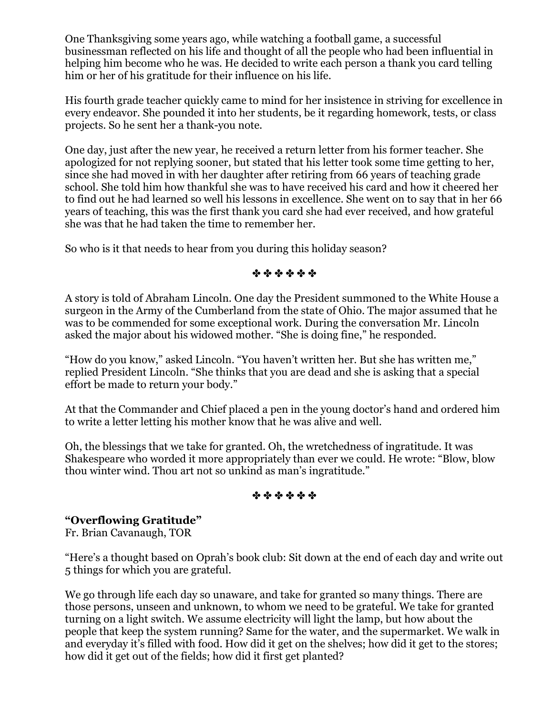One Thanksgiving some years ago, while watching a football game, a successful businessman reflected on his life and thought of all the people who had been influential in helping him become who he was. He decided to write each person a thank you card telling him or her of his gratitude for their influence on his life.

His fourth grade teacher quickly came to mind for her insistence in striving for excellence in every endeavor. She pounded it into her students, be it regarding homework, tests, or class projects. So he sent her a thank-you note.

One day, just after the new year, he received a return letter from his former teacher. She apologized for not replying sooner, but stated that his letter took some time getting to her, since she had moved in with her daughter after retiring from 66 years of teaching grade school. She told him how thankful she was to have received his card and how it cheered her to find out he had learned so well his lessons in excellence. She went on to say that in her 66 years of teaching, this was the first thank you card she had ever received, and how grateful she was that he had taken the time to remember her.

So who is it that needs to hear from you during this holiday season?

## e e e e e e

A story is told of Abraham Lincoln. One day the President summoned to the White House a surgeon in the Army of the Cumberland from the state of Ohio. The major assumed that he was to be commended for some exceptional work. During the conversation Mr. Lincoln asked the major about his widowed mother. "She is doing fine," he responded.

"How do you know," asked Lincoln. "You haven't written her. But she has written me," replied President Lincoln. "She thinks that you are dead and she is asking that a special effort be made to return your body."

At that the Commander and Chief placed a pen in the young doctor's hand and ordered him to write a letter letting his mother know that he was alive and well.

Oh, the blessings that we take for granted. Oh, the wretchedness of ingratitude. It was Shakespeare who worded it more appropriately than ever we could. He wrote: "Blow, blow thou winter wind. Thou art not so unkind as man's ingratitude."

## $\clubsuit$  .  $\clubsuit$  .  $\clubsuit$  .  $\clubsuit$

## **"Overflowing Gratitude"**

Fr. Brian Cavanaugh, TOR

"Here's a thought based on Oprah's book club: Sit down at the end of each day and write out 5 things for which you are grateful.

We go through life each day so unaware, and take for granted so many things. There are those persons, unseen and unknown, to whom we need to be grateful. We take for granted turning on a light switch. We assume electricity will light the lamp, but how about the people that keep the system running? Same for the water, and the supermarket. We walk in and everyday it's filled with food. How did it get on the shelves; how did it get to the stores; how did it get out of the fields; how did it first get planted?